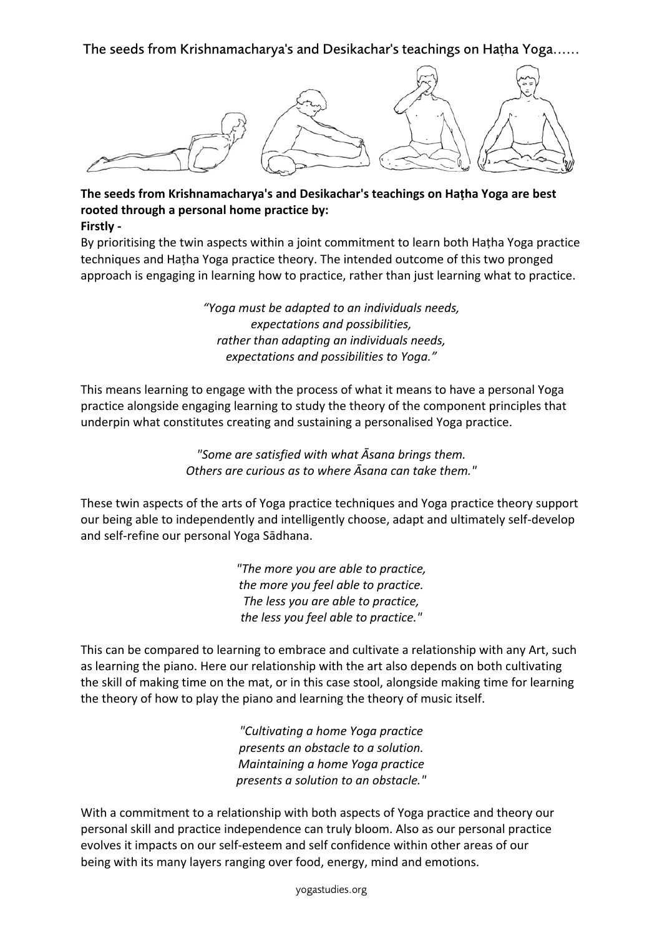The seeds from Krishnamacharya's and Desikachar's teachings on Haṭha Yoga......



## **The seeds from Krishnamacharya's and Desikachar's teachings on Haṭha Yoga are best rooted through a personal home practice by: Firstly -**

By prioritising the twin aspects within a joint commitment to learn both Haṭha Yoga practice techniques and Haṭha Yoga practice theory. The intended outcome of this two pronged approach is engaging in learning how to practice, rather than just learning what to practice.

> *"Yoga must be adapted to an individuals needs, expectations and possibilities, rather than adapting an individuals needs, expectations and possibilities to Yoga."*

This means learning to engage with the process of what it means to have a personal Yoga practice alongside engaging learning to study the theory of the component principles that underpin what constitutes creating and sustaining a personalised Yoga practice.

> *"Some are satisfied with what Āsana brings them. Others are curious as to where Āsana can take them."*

These twin aspects of the arts of Yoga practice techniques and Yoga practice theory support our being able to independently and intelligently choose, adapt and ultimately self-develop and self-refine our personal Yoga Sādhana.

> *"The more you are able to practice, the more you feel able to practice. The less you are able to practice, the less you feel able to practice."*

This can be compared to learning to embrace and cultivate a relationship with any Art, such as learning the piano. Here our relationship with the art also depends on both cultivating the skill of making time on the mat, or in this case stool, alongside making time for learning the theory of how to play the piano and learning the theory of music itself.

> *"Cultivating a home Yoga practice presents an obstacle to a solution. Maintaining a home Yoga practice presents a solution to an obstacle."*

With a commitment to a relationship with both aspects of Yoga practice and theory our personal skill and practice independence can truly bloom. Also as our personal practice evolves it impacts on our self-esteem and self confidence within other areas of our being with its many layers ranging over food, energy, mind and emotions.